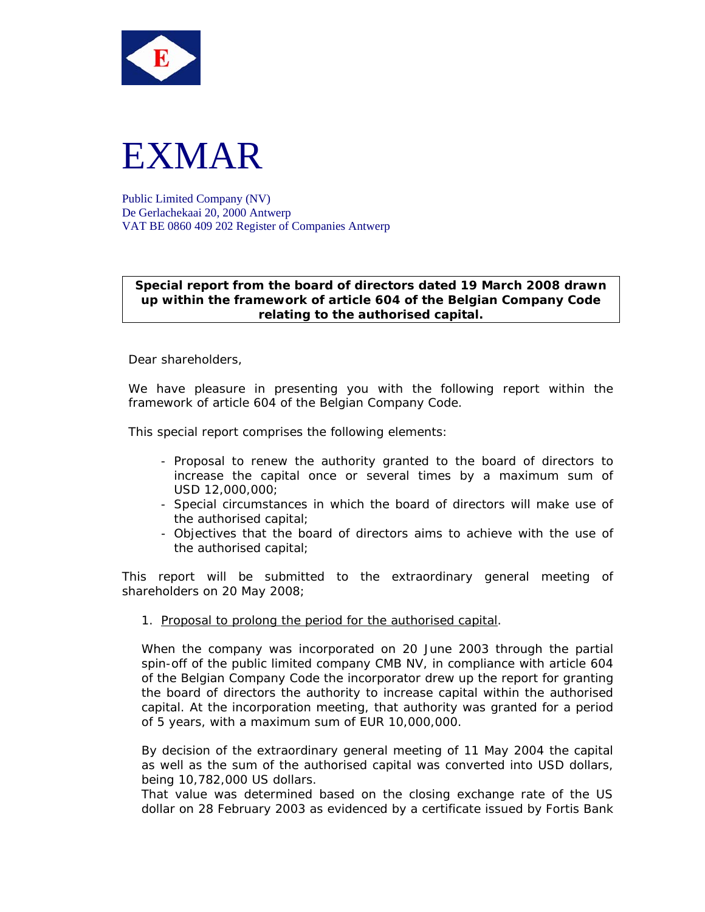



Public Limited Company (NV) De Gerlachekaai 20, 2000 Antwerp VAT BE 0860 409 202 Register of Companies Antwerp

## **Special report from the board of directors dated 19 March 2008 drawn up within the framework of article 604 of the Belgian Company Code relating to the authorised capital.**

Dear shareholders,

We have pleasure in presenting you with the following report within the framework of article 604 of the Belgian Company Code.

This special report comprises the following elements:

- Proposal to renew the authority granted to the board of directors to increase the capital once or several times by a maximum sum of USD 12,000,000;
- Special circumstances in which the board of directors will make use of the authorised capital;
- Objectives that the board of directors aims to achieve with the use of the authorised capital;

This report will be submitted to the extraordinary general meeting of shareholders on 20 May 2008;

1. Proposal to prolong the period for the authorised capital.

When the company was incorporated on 20 June 2003 through the partial spin-off of the public limited company CMB NV, in compliance with article 604 of the Belgian Company Code the incorporator drew up the report for granting the board of directors the authority to increase capital within the authorised capital. At the incorporation meeting, that authority was granted for a period of 5 years, with a maximum sum of EUR 10,000,000.

By decision of the extraordinary general meeting of 11 May 2004 the capital as well as the sum of the authorised capital was converted into USD dollars, being 10,782,000 US dollars.

That value was determined based on the closing exchange rate of the US dollar on 28 February 2003 as evidenced by a certificate issued by Fortis Bank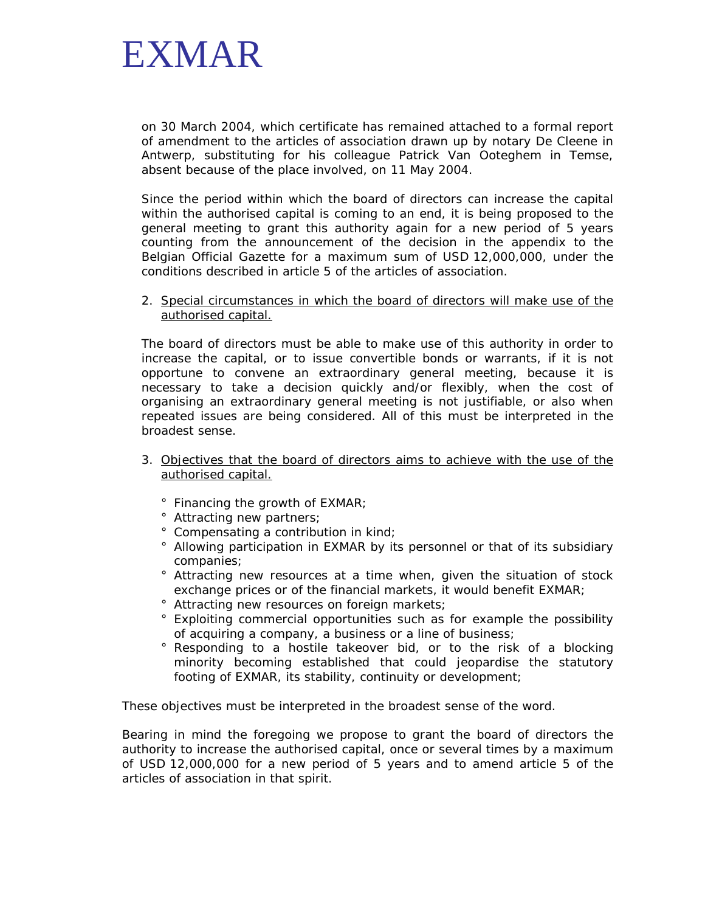

on 30 March 2004, which certificate has remained attached to a formal report of amendment to the articles of association drawn up by notary De Cleene in Antwerp, substituting for his colleague Patrick Van Ooteghem in Temse, absent because of the place involved, on 11 May 2004.

Since the period within which the board of directors can increase the capital within the authorised capital is coming to an end, it is being proposed to the general meeting to grant this authority again for a new period of 5 years counting from the announcement of the decision in the appendix to the Belgian Official Gazette for a maximum sum of USD 12,000,000, under the conditions described in article 5 of the articles of association.

2. Special circumstances in which the board of directors will make use of the authorised capital.

The board of directors must be able to make use of this authority in order to increase the capital, or to issue convertible bonds or warrants, if it is not opportune to convene an extraordinary general meeting, because it is necessary to take a decision quickly and/or flexibly, when the cost of organising an extraordinary general meeting is not justifiable, or also when repeated issues are being considered. All of this must be interpreted in the broadest sense.

- 3. Objectives that the board of directors aims to achieve with the use of the authorised capital.
	- ° Financing the growth of EXMAR;
	- ° Attracting new partners;
	- ° Compensating a contribution in kind;
	- ° Allowing participation in EXMAR by its personnel or that of its subsidiary companies;
	- ° Attracting new resources at a time when, given the situation of stock exchange prices or of the financial markets, it would benefit EXMAR;
	- ° Attracting new resources on foreign markets;
	- ° Exploiting commercial opportunities such as for example the possibility of acquiring a company, a business or a line of business;
	- ° Responding to a hostile takeover bid, or to the risk of a blocking minority becoming established that could jeopardise the statutory footing of EXMAR, its stability, continuity or development;

These objectives must be interpreted in the broadest sense of the word.

Bearing in mind the foregoing we propose to grant the board of directors the authority to increase the authorised capital, once or several times by a maximum of USD 12,000,000 for a new period of 5 years and to amend article 5 of the articles of association in that spirit.